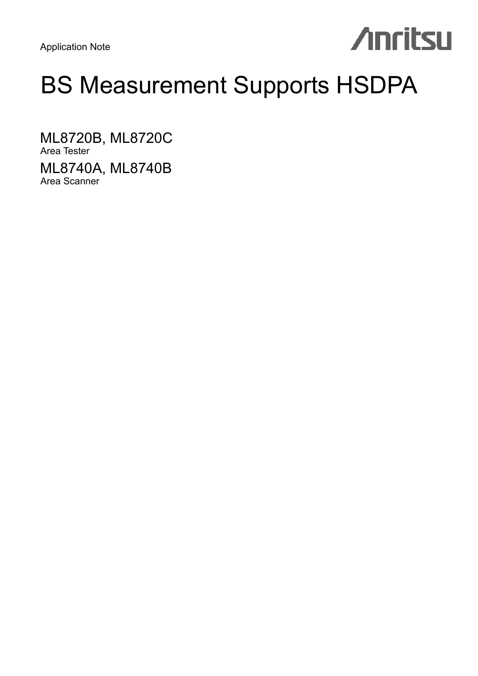Application Note

# **Anritsu**

# BS Measurement Supports HSDPA

ML8720B, ML8720C Area Tester ML8740A, ML8740B Area Scanner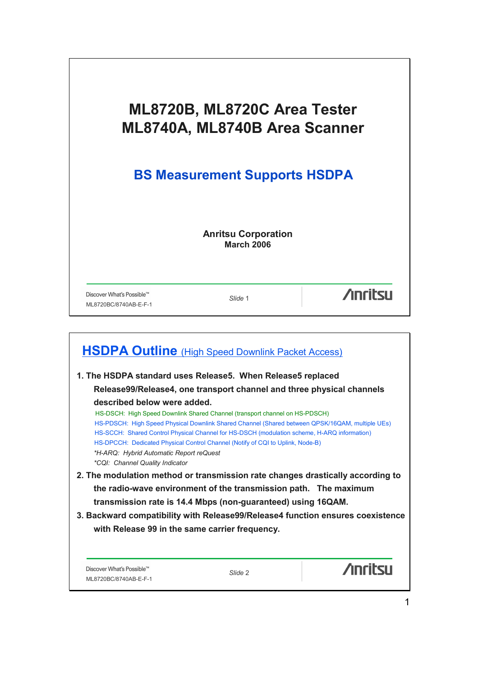| ML8720B, ML8720C Area Tester<br>ML8740A, ML8740B Area Scanner<br><b>BS Measurement Supports HSDPA</b> |                                                 |                 |  |
|-------------------------------------------------------------------------------------------------------|-------------------------------------------------|-----------------|--|
|                                                                                                       |                                                 |                 |  |
|                                                                                                       | <b>Anritsu Corporation</b><br><b>March 2006</b> |                 |  |
|                                                                                                       |                                                 |                 |  |
| Discover What's Possible™<br>ML8720BC/8740AB-E-F-1                                                    | Slide 1                                         | <b>Anritall</b> |  |

| <b>HSDPA Outline</b> (High Speed Downlink Packet Access)                                        |                                                                                |                |  |  |
|-------------------------------------------------------------------------------------------------|--------------------------------------------------------------------------------|----------------|--|--|
| 1. The HSDPA standard uses Release5. When Release5 replaced                                     |                                                                                |                |  |  |
|                                                                                                 | Release99/Release4, one transport channel and three physical channels          |                |  |  |
| described below were added.                                                                     |                                                                                |                |  |  |
|                                                                                                 | HS-DSCH: High Speed Downlink Shared Channel (transport channel on HS-PDSCH)    |                |  |  |
| HS-PDSCH: High Speed Physical Downlink Shared Channel (Shared between QPSK/16QAM, multiple UEs) |                                                                                |                |  |  |
| HS-SCCH: Shared Control Physical Channel for HS-DSCH (modulation scheme, H-ARQ information)     |                                                                                |                |  |  |
|                                                                                                 | HS-DPCCH: Dedicated Physical Control Channel (Notify of CQI to Uplink, Node-B) |                |  |  |
| *H-ARQ: Hybrid Automatic Report reQuest                                                         |                                                                                |                |  |  |
| <i>*CQI: Channel Quality Indicator</i>                                                          |                                                                                |                |  |  |
| 2. The modulation method or transmission rate changes drastically according to                  |                                                                                |                |  |  |
|                                                                                                 | the radio-wave environment of the transmission path. The maximum               |                |  |  |
|                                                                                                 | transmission rate is 14.4 Mbps (non-guaranteed) using 16QAM.                   |                |  |  |
| 3. Backward compatibility with Release99/Release4 function ensures coexistence                  |                                                                                |                |  |  |
| with Release 99 in the same carrier frequency.                                                  |                                                                                |                |  |  |
|                                                                                                 |                                                                                |                |  |  |
|                                                                                                 |                                                                                |                |  |  |
|                                                                                                 |                                                                                |                |  |  |
| Discover What's Possible™                                                                       | Slide 2                                                                        | <b>Anritsu</b> |  |  |
| ML8720BC/8740AB-E-F-1                                                                           |                                                                                |                |  |  |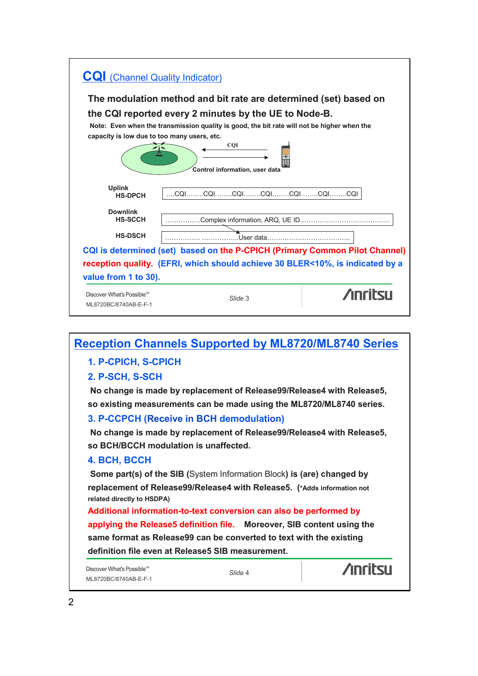| <b>CQI</b> (Channel Quality Indicator)                                                                                                                                                                                                             |           |  |  |  |  |
|----------------------------------------------------------------------------------------------------------------------------------------------------------------------------------------------------------------------------------------------------|-----------|--|--|--|--|
| The modulation method and bit rate are determined (set) based on                                                                                                                                                                                   |           |  |  |  |  |
| the CQI reported every 2 minutes by the UE to Node-B.<br>Note: Even when the transmission quality is good, the bit rate will not be higher when the<br>capacity is low due to too many users, etc.<br><b>COI</b><br>Control information, user data |           |  |  |  |  |
| <b>Uplink</b><br><b>HS-DPCH</b>                                                                                                                                                                                                                    |           |  |  |  |  |
| <b>Downlink</b><br><b>HS-SCCH</b>                                                                                                                                                                                                                  |           |  |  |  |  |
| <b>HS-DSCH</b>                                                                                                                                                                                                                                     | User data |  |  |  |  |
| CQI is determined (set) based on the P-CPICH (Primary Common Pilot Channel)<br>reception quality. (EFRI, which should achieve 30 BLER<10%, is indicated by a<br>value from 1 to 30).                                                               |           |  |  |  |  |
| Discover What's Possible™<br>ML8720BC/8740AB-E-F-1                                                                                                                                                                                                 | Slide 3   |  |  |  |  |

# **Reception Channels Supported by ML8720/ML8740 Series**

### **1. P-CPICH, S-CPICH**

### **2. P-SCH, S-SCH**

**No change is made by replacement of Release99/Release4 with Release5, so existing measurements can be made using the ML8720/ML8740 series.**

### **3. P-CCPCH (Receive in BCH demodulation)**

**No change is made by replacement of Release99/Release4 with Release5, so BCH/BCCH modulation is unaffected.**

#### **4. BCH, BCCH**

**Some part(s) of the SIB (**System Information Block**) is (are) changed by replacement of Release99/Release4 with Release5. (\*Adds information not related directly to HSDPA)**

**Additional information-to-text conversion can also be performed by applying the Release5 definition file. Moreover, SIB content using the same format as Release99 can be converted to text with the existing definition file even at Release5 SIB measurement.**

Discover What's Possible™ ML8720BC/8740AB-E-F-1

*Slide* 4

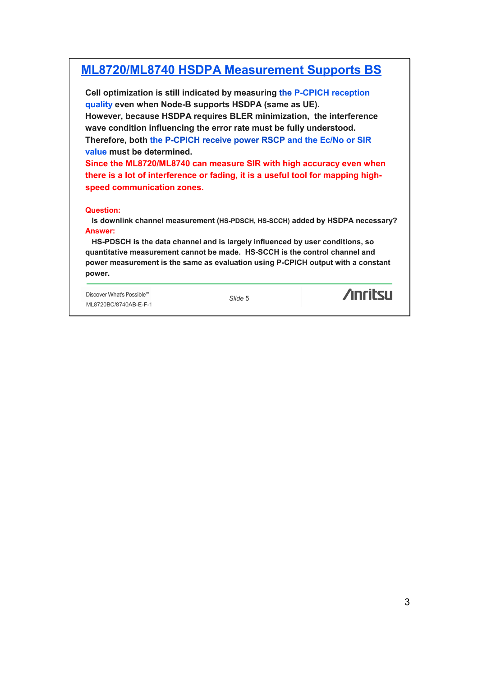# **ML8720/ML8740 HSDPA Measurement Supports BS**

**Cell optimization is still indicated by measuring the P-CPICH reception quality even when Node-B supports HSDPA (same as UE). However, because HSDPA requires BLER minimization, the interference wave condition influencing the error rate must be fully understood. Therefore, both the P-CPICH receive power RSCP and the Ec/No or SIR value must be determined.** 

**Since the ML8720/ML8740 can measure SIR with high accuracy even when there is a lot of interference or fading, it is a useful tool for mapping highspeed communication zones.**

#### **Question:**

**Is downlink channel measurement (HS-PDSCH, HS-SCCH) added by HSDPA necessary? Answer:**

**HS-PDSCH is the data channel and is largely influenced by user conditions, so quantitative measurement cannot be made. HS-SCCH is the control channel and power measurement is the same as evaluation using P-CPICH output with a constant power.**

Discover What's Possible™ ML8720BC/8740AB-E-F-1

*Slide* 5